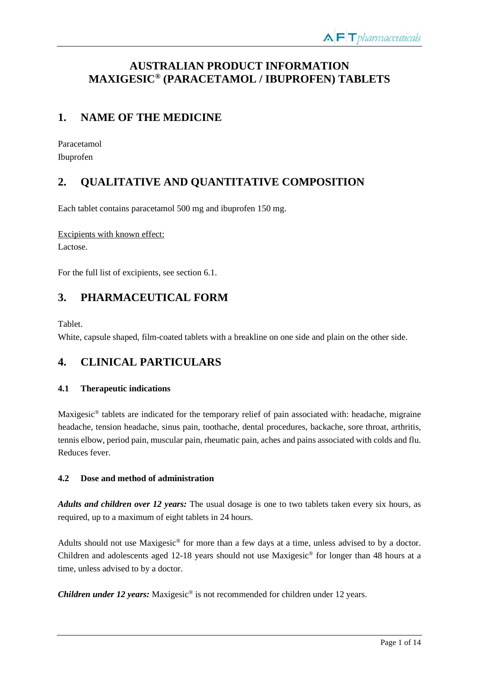# **AUSTRALIAN PRODUCT INFORMATION MAXIGESIC® (PARACETAMOL / IBUPROFEN) TABLETS**

# **1. NAME OF THE MEDICINE**

Paracetamol Ibuprofen

# **2. QUALITATIVE AND QUANTITATIVE COMPOSITION**

Each tablet contains paracetamol 500 mg and ibuprofen 150 mg.

Excipients with known effect: Lactose.

For the full list of excipients, see section 6.1.

# **3. PHARMACEUTICAL FORM**

Tablet.

White, capsule shaped, film-coated tablets with a breakline on one side and plain on the other side.

# **4. CLINICAL PARTICULARS**

## **4.1 Therapeutic indications**

Maxigesic® tablets are indicated for the temporary relief of pain associated with: headache, migraine headache, tension headache, sinus pain, toothache, dental procedures, backache, sore throat, arthritis, tennis elbow, period pain, muscular pain, rheumatic pain, aches and pains associated with colds and flu. Reduces fever.

## **4.2 Dose and method of administration**

*Adults and children over 12 years:* The usual dosage is one to two tablets taken every six hours, as required, up to a maximum of eight tablets in 24 hours.

Adults should not use Maxigesic® for more than a few days at a time, unless advised to by a doctor. Children and adolescents aged 12-18 years should not use Maxigesic® for longer than 48 hours at a time, unless advised to by a doctor.

*Children under 12 years:* Maxigesic<sup>®</sup> is not recommended for children under 12 years.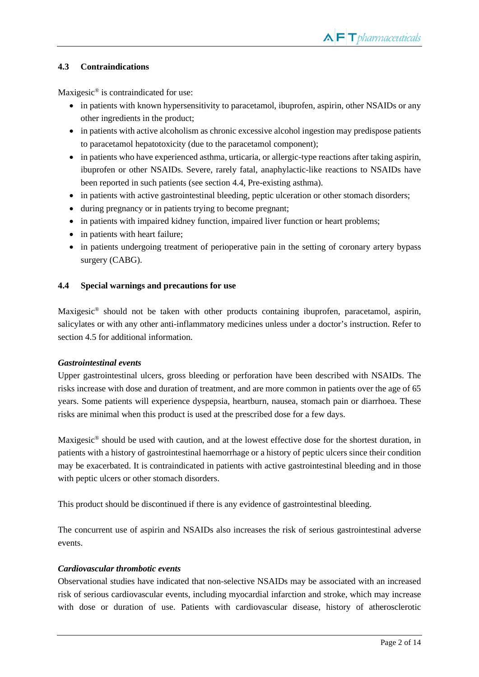## **4.3 Contraindications**

Maxigesic® is contraindicated for use:

- in patients with known hypersensitivity to paracetamol, ibuprofen, aspirin, other NSAIDs or any other ingredients in the product;
- in patients with active alcoholism as chronic excessive alcohol ingestion may predispose patients to paracetamol hepatotoxicity (due to the paracetamol component);
- in patients who have experienced asthma, urticaria, or allergic-type reactions after taking aspirin, ibuprofen or other NSAIDs. Severe, rarely fatal, anaphylactic-like reactions to NSAIDs have been reported in such patients (see section 4.4, Pre-existing asthma).
- in patients with active gastrointestinal bleeding, peptic ulceration or other stomach disorders;
- during pregnancy or in patients trying to become pregnant;
- in patients with impaired kidney function, impaired liver function or heart problems;
- in patients with heart failure;
- in patients undergoing treatment of perioperative pain in the setting of coronary artery bypass surgery (CABG).

#### **4.4 Special warnings and precautions for use**

Maxigesic® should not be taken with other products containing ibuprofen, paracetamol, aspirin, salicylates or with any other anti-inflammatory medicines unless under a doctor's instruction. Refer to section 4.5 for additional information.

#### *Gastrointestinal events*

Upper gastrointestinal ulcers, gross bleeding or perforation have been described with NSAIDs. The risks increase with dose and duration of treatment, and are more common in patients over the age of 65 years. Some patients will experience dyspepsia, heartburn, nausea, stomach pain or diarrhoea. These risks are minimal when this product is used at the prescribed dose for a few days.

Maxigesic® should be used with caution, and at the lowest effective dose for the shortest duration, in patients with a history of gastrointestinal haemorrhage or a history of peptic ulcers since their condition may be exacerbated. It is contraindicated in patients with active gastrointestinal bleeding and in those with peptic ulcers or other stomach disorders.

This product should be discontinued if there is any evidence of gastrointestinal bleeding.

The concurrent use of aspirin and NSAIDs also increases the risk of serious gastrointestinal adverse events.

## *Cardiovascular thrombotic events*

Observational studies have indicated that non-selective NSAIDs may be associated with an increased risk of serious cardiovascular events, including myocardial infarction and stroke, which may increase with dose or duration of use. Patients with cardiovascular disease, history of atherosclerotic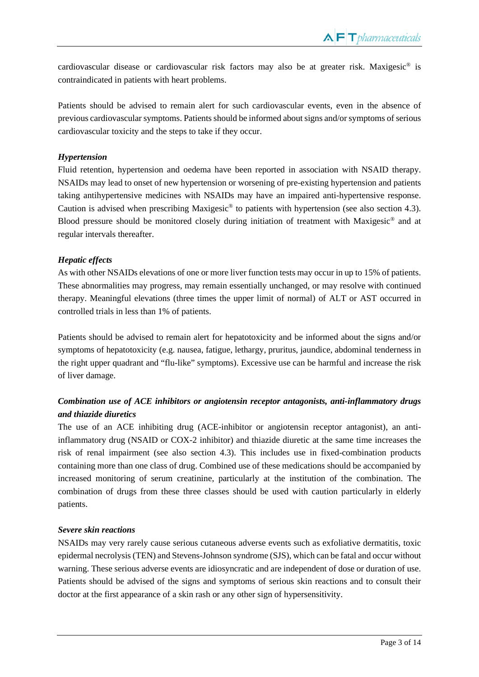cardiovascular disease or cardiovascular risk factors may also be at greater risk. Maxigesic® is contraindicated in patients with heart problems.

Patients should be advised to remain alert for such cardiovascular events, even in the absence of previous cardiovascular symptoms. Patients should be informed about signs and/or symptoms of serious cardiovascular toxicity and the steps to take if they occur.

## *Hypertension*

Fluid retention, hypertension and oedema have been reported in association with NSAID therapy. NSAIDs may lead to onset of new hypertension or worsening of pre-existing hypertension and patients taking antihypertensive medicines with NSAIDs may have an impaired anti-hypertensive response. Caution is advised when prescribing Maxigesic® to patients with hypertension (see also section 4.3). Blood pressure should be monitored closely during initiation of treatment with Maxigesic<sup>®</sup> and at regular intervals thereafter.

## *Hepatic effects*

As with other NSAIDs elevations of one or more liver function tests may occur in up to 15% of patients. These abnormalities may progress, may remain essentially unchanged, or may resolve with continued therapy. Meaningful elevations (three times the upper limit of normal) of ALT or AST occurred in controlled trials in less than 1% of patients.

Patients should be advised to remain alert for hepatotoxicity and be informed about the signs and/or symptoms of hepatotoxicity (e.g. nausea, fatigue, lethargy, pruritus, jaundice, abdominal tenderness in the right upper quadrant and "flu-like" symptoms). Excessive use can be harmful and increase the risk of liver damage.

## *Combination use of ACE inhibitors or angiotensin receptor antagonists, anti-inflammatory drugs and thiazide diuretics*

The use of an ACE inhibiting drug (ACE-inhibitor or angiotensin receptor antagonist), an antiinflammatory drug (NSAID or COX-2 inhibitor) and thiazide diuretic at the same time increases the risk of renal impairment (see also section 4.3). This includes use in fixed-combination products containing more than one class of drug. Combined use of these medications should be accompanied by increased monitoring of serum creatinine, particularly at the institution of the combination. The combination of drugs from these three classes should be used with caution particularly in elderly patients.

## *Severe skin reactions*

NSAIDs may very rarely cause serious cutaneous adverse events such as exfoliative dermatitis, toxic epidermal necrolysis (TEN) and Stevens-Johnson syndrome (SJS), which can be fatal and occur without warning. These serious adverse events are idiosyncratic and are independent of dose or duration of use. Patients should be advised of the signs and symptoms of serious skin reactions and to consult their doctor at the first appearance of a skin rash or any other sign of hypersensitivity.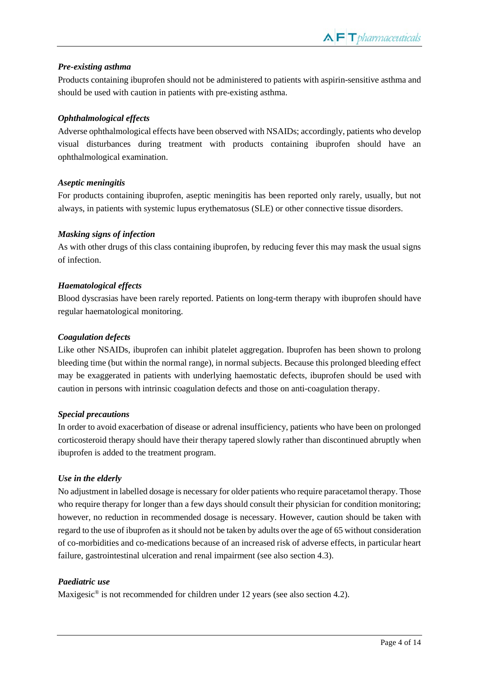#### *Pre-existing asthma*

Products containing ibuprofen should not be administered to patients with aspirin-sensitive asthma and should be used with caution in patients with pre-existing asthma.

#### *Ophthalmological effects*

Adverse ophthalmological effects have been observed with NSAIDs; accordingly, patients who develop visual disturbances during treatment with products containing ibuprofen should have an ophthalmological examination.

#### *Aseptic meningitis*

For products containing ibuprofen, aseptic meningitis has been reported only rarely, usually, but not always, in patients with systemic lupus erythematosus (SLE) or other connective tissue disorders.

#### *Masking signs of infection*

As with other drugs of this class containing ibuprofen, by reducing fever this may mask the usual signs of infection.

#### *Haematological effects*

Blood dyscrasias have been rarely reported. Patients on long-term therapy with ibuprofen should have regular haematological monitoring.

#### *Coagulation defects*

Like other NSAIDs, ibuprofen can inhibit platelet aggregation. Ibuprofen has been shown to prolong bleeding time (but within the normal range), in normal subjects. Because this prolonged bleeding effect may be exaggerated in patients with underlying haemostatic defects, ibuprofen should be used with caution in persons with intrinsic coagulation defects and those on anti-coagulation therapy.

## *Special precautions*

In order to avoid exacerbation of disease or adrenal insufficiency, patients who have been on prolonged corticosteroid therapy should have their therapy tapered slowly rather than discontinued abruptly when ibuprofen is added to the treatment program.

## *Use in the elderly*

No adjustment in labelled dosage is necessary for older patients who require paracetamol therapy. Those who require therapy for longer than a few days should consult their physician for condition monitoring; however, no reduction in recommended dosage is necessary. However, caution should be taken with regard to the use of ibuprofen as it should not be taken by adults over the age of 65 without consideration of co-morbidities and co-medications because of an increased risk of adverse effects, in particular heart failure, gastrointestinal ulceration and renal impairment (see also section 4.3).

#### *Paediatric use*

Maxigesic<sup>®</sup> is not recommended for children under 12 years (see also section 4.2).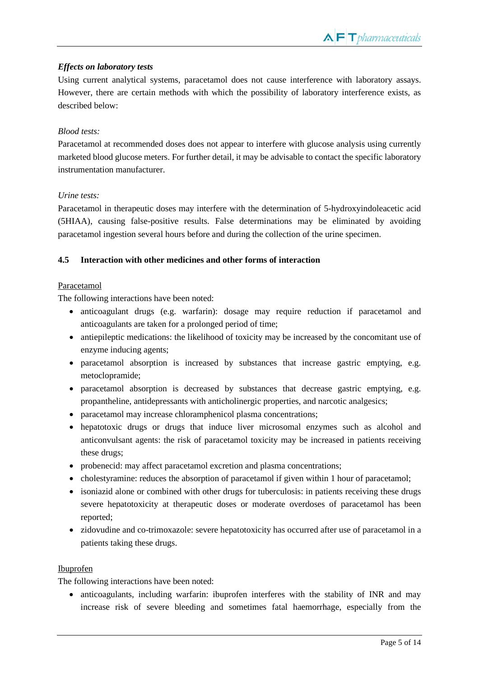## *Effects on laboratory tests*

Using current analytical systems, paracetamol does not cause interference with laboratory assays. However, there are certain methods with which the possibility of laboratory interference exists, as described below:

## *Blood tests:*

Paracetamol at recommended doses does not appear to interfere with glucose analysis using currently marketed blood glucose meters. For further detail, it may be advisable to contact the specific laboratory instrumentation manufacturer.

## *Urine tests:*

Paracetamol in therapeutic doses may interfere with the determination of 5-hydroxyindoleacetic acid (5HIAA), causing false-positive results. False determinations may be eliminated by avoiding paracetamol ingestion several hours before and during the collection of the urine specimen.

## **4.5 Interaction with other medicines and other forms of interaction**

#### Paracetamol

The following interactions have been noted:

- anticoagulant drugs (e.g. warfarin): dosage may require reduction if paracetamol and anticoagulants are taken for a prolonged period of time;
- antiepileptic medications: the likelihood of toxicity may be increased by the concomitant use of enzyme inducing agents;
- paracetamol absorption is increased by substances that increase gastric emptying, e.g. metoclopramide;
- paracetamol absorption is decreased by substances that decrease gastric emptying, e.g. propantheline, antidepressants with anticholinergic properties, and narcotic analgesics;
- paracetamol may increase chloramphenicol plasma concentrations;
- hepatotoxic drugs or drugs that induce liver microsomal enzymes such as alcohol and anticonvulsant agents: the risk of paracetamol toxicity may be increased in patients receiving these drugs;
- probenecid: may affect paracetamol excretion and plasma concentrations;
- cholestyramine: reduces the absorption of paracetamol if given within 1 hour of paracetamol;
- isoniazid alone or combined with other drugs for tuberculosis: in patients receiving these drugs severe hepatotoxicity at therapeutic doses or moderate overdoses of paracetamol has been reported;
- zidovudine and co-trimoxazole: severe hepatotoxicity has occurred after use of paracetamol in a patients taking these drugs.

#### Ibuprofen

The following interactions have been noted:

• anticoagulants, including warfarin: ibuprofen interferes with the stability of INR and may increase risk of severe bleeding and sometimes fatal haemorrhage, especially from the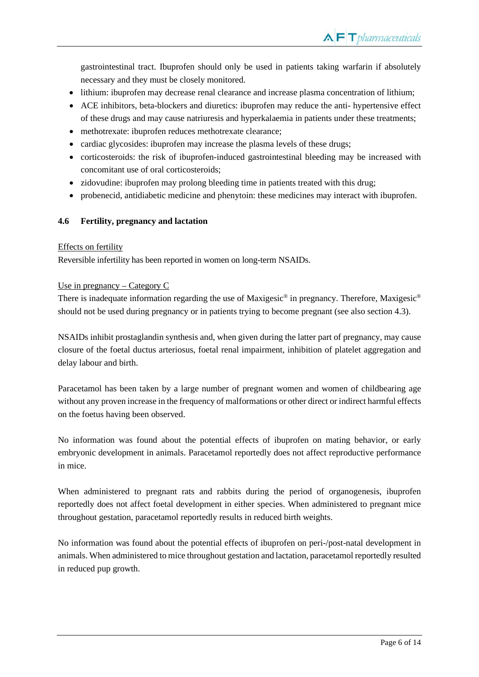gastrointestinal tract. Ibuprofen should only be used in patients taking warfarin if absolutely necessary and they must be closely monitored.

- lithium: ibuprofen may decrease renal clearance and increase plasma concentration of lithium;
- ACE inhibitors, beta-blockers and diuretics: ibuprofen may reduce the anti- hypertensive effect of these drugs and may cause natriuresis and hyperkalaemia in patients under these treatments;
- methotrexate: ibuprofen reduces methotrexate clearance;
- cardiac glycosides: ibuprofen may increase the plasma levels of these drugs;
- corticosteroids: the risk of ibuprofen-induced gastrointestinal bleeding may be increased with concomitant use of oral corticosteroids;
- zidovudine: ibuprofen may prolong bleeding time in patients treated with this drug;
- probenecid, antidiabetic medicine and phenytoin: these medicines may interact with ibuprofen.

## **4.6 Fertility, pregnancy and lactation**

#### Effects on fertility

Reversible infertility has been reported in women on long-term NSAIDs.

#### Use in pregnancy – Category C

There is inadequate information regarding the use of Maxigesic<sup>®</sup> in pregnancy. Therefore, Maxigesic<sup>®</sup> should not be used during pregnancy or in patients trying to become pregnant (see also section 4.3).

NSAIDs inhibit prostaglandin synthesis and, when given during the latter part of pregnancy, may cause closure of the foetal ductus arteriosus, foetal renal impairment, inhibition of platelet aggregation and delay labour and birth.

Paracetamol has been taken by a large number of pregnant women and women of childbearing age without any proven increase in the frequency of malformations or other direct or indirect harmful effects on the foetus having been observed.

No information was found about the potential effects of ibuprofen on mating behavior, or early embryonic development in animals. Paracetamol reportedly does not affect reproductive performance in mice.

When administered to pregnant rats and rabbits during the period of organogenesis, ibuprofen reportedly does not affect foetal development in either species. When administered to pregnant mice throughout gestation, paracetamol reportedly results in reduced birth weights.

No information was found about the potential effects of ibuprofen on peri-/post-natal development in animals. When administered to mice throughout gestation and lactation, paracetamol reportedly resulted in reduced pup growth.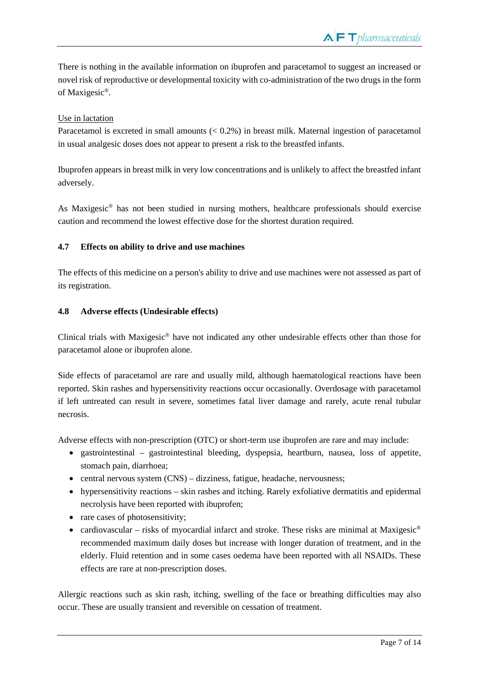There is nothing in the available information on ibuprofen and paracetamol to suggest an increased or novel risk of reproductive or developmental toxicity with co-administration of the two drugs in the form of Maxigesic®.

## Use in lactation

Paracetamol is excreted in small amounts  $(< 0.2\%$ ) in breast milk. Maternal ingestion of paracetamol in usual analgesic doses does not appear to present a risk to the breastfed infants.

Ibuprofen appears in breast milk in very low concentrations and is unlikely to affect the breastfed infant adversely.

As Maxigesic® has not been studied in nursing mothers, healthcare professionals should exercise caution and recommend the lowest effective dose for the shortest duration required.

## **4.7 Effects on ability to drive and use machines**

The effects of this medicine on a person's ability to drive and use machines were not assessed as part of its registration.

## **4.8 Adverse effects (Undesirable effects)**

Clinical trials with Maxigesic® have not indicated any other undesirable effects other than those for paracetamol alone or ibuprofen alone.

Side effects of paracetamol are rare and usually mild, although haematological reactions have been reported. Skin rashes and hypersensitivity reactions occur occasionally. Overdosage with paracetamol if left untreated can result in severe, sometimes fatal liver damage and rarely, acute renal tubular necrosis.

Adverse effects with non-prescription (OTC) or short-term use ibuprofen are rare and may include:

- gastrointestinal gastrointestinal bleeding, dyspepsia, heartburn, nausea, loss of appetite, stomach pain, diarrhoea;
- central nervous system (CNS) dizziness, fatigue, headache, nervousness;
- hypersensitivity reactions skin rashes and itching. Rarely exfoliative dermatitis and epidermal necrolysis have been reported with ibuprofen;
- rare cases of photosensitivity;
- cardiovascular risks of myocardial infarct and stroke. These risks are minimal at Maxigesic<sup>®</sup> recommended maximum daily doses but increase with longer duration of treatment, and in the elderly. Fluid retention and in some cases oedema have been reported with all NSAIDs. These effects are rare at non-prescription doses.

Allergic reactions such as skin rash, itching, swelling of the face or breathing difficulties may also occur. These are usually transient and reversible on cessation of treatment.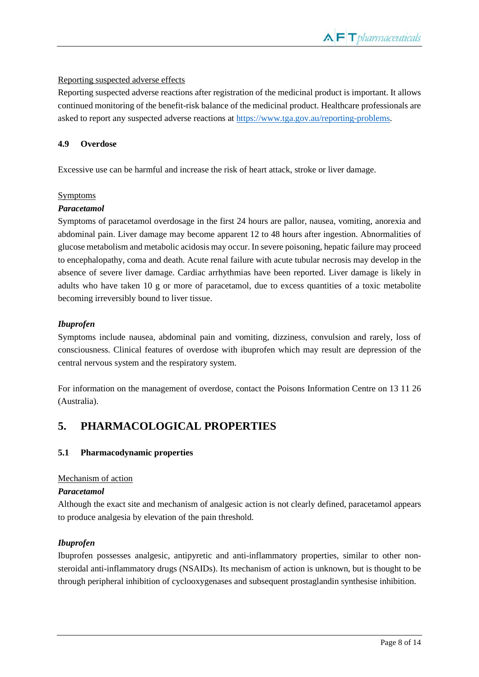## Reporting suspected adverse effects

Reporting suspected adverse reactions after registration of the medicinal product is important. It allows continued monitoring of the benefit-risk balance of the medicinal product. Healthcare professionals are asked to report any suspected adverse reactions a[t https://www.tga.gov.au/reporting-problems.](https://www.tga.gov.au/reporting-problems)

#### **4.9 Overdose**

Excessive use can be harmful and increase the risk of heart attack, stroke or liver damage.

## Symptoms

## *Paracetamol*

Symptoms of paracetamol overdosage in the first 24 hours are pallor, nausea, vomiting, anorexia and abdominal pain. Liver damage may become apparent 12 to 48 hours after ingestion. Abnormalities of glucose metabolism and metabolic acidosis may occur. In severe poisoning, hepatic failure may proceed to encephalopathy, coma and death. Acute renal failure with acute tubular necrosis may develop in the absence of severe liver damage. Cardiac arrhythmias have been reported. Liver damage is likely in adults who have taken 10 g or more of paracetamol, due to excess quantities of a toxic metabolite becoming irreversibly bound to liver tissue.

## *Ibuprofen*

Symptoms include nausea, abdominal pain and vomiting, dizziness, convulsion and rarely, loss of consciousness. Clinical features of overdose with ibuprofen which may result are depression of the central nervous system and the respiratory system.

For information on the management of overdose, contact the Poisons Information Centre on 13 11 26 (Australia).

# **5. PHARMACOLOGICAL PROPERTIES**

## **5.1 Pharmacodynamic properties**

## Mechanism of action

#### *Paracetamol*

Although the exact site and mechanism of analgesic action is not clearly defined, paracetamol appears to produce analgesia by elevation of the pain threshold.

## *Ibuprofen*

Ibuprofen possesses analgesic, antipyretic and anti-inflammatory properties, similar to other nonsteroidal anti-inflammatory drugs (NSAIDs). Its mechanism of action is unknown, but is thought to be through peripheral inhibition of cyclooxygenases and subsequent prostaglandin synthesise inhibition.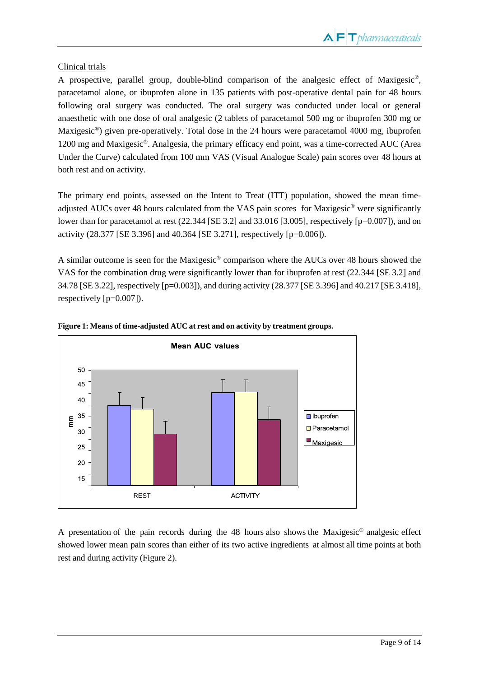## Clinical trials

A prospective, parallel group, double-blind comparison of the analgesic effect of Maxigesic®, paracetamol alone, or ibuprofen alone in 135 patients with post-operative dental pain for 48 hours following oral surgery was conducted. The oral surgery was conducted under local or general anaesthetic with one dose of oral analgesic (2 tablets of paracetamol 500 mg or ibuprofen 300 mg or Maxigesic®) given pre-operatively. Total dose in the 24 hours were paracetamol 4000 mg, ibuprofen 1200 mg and Maxigesic®. Analgesia, the primary efficacy end point, was a time-corrected AUC (Area Under the Curve) calculated from 100 mm VAS (Visual Analogue Scale) pain scores over 48 hours at both rest and on activity.

The primary end points, assessed on the Intent to Treat (ITT) population, showed the mean timeadjusted AUCs over 48 hours calculated from the VAS pain scores for Maxigesic® were significantly lower than for paracetamol at rest  $(22.344$  [SE 3.2] and 33.016 [3.005], respectively [p=0.007]), and on activity (28.377 [SE 3.396] and 40.364 [SE 3.271], respectively [p=0.006]).

A similar outcome is seen for the Maxigesic® comparison where the AUCs over 48 hours showed the VAS for the combination drug were significantly lower than for ibuprofen at rest (22.344 [SE 3.2] and 34.78 [SE 3.22], respectively [p=0.003]), and during activity (28.377 [SE 3.396] and 40.217 [SE 3.418], respectively [p=0.007]).





A presentation of the pain records during the 48 hours also shows the Maxigesic® analgesic effect showed lower mean pain scores than either of its two active ingredients at almost all time points at both rest and during activity (Figure 2).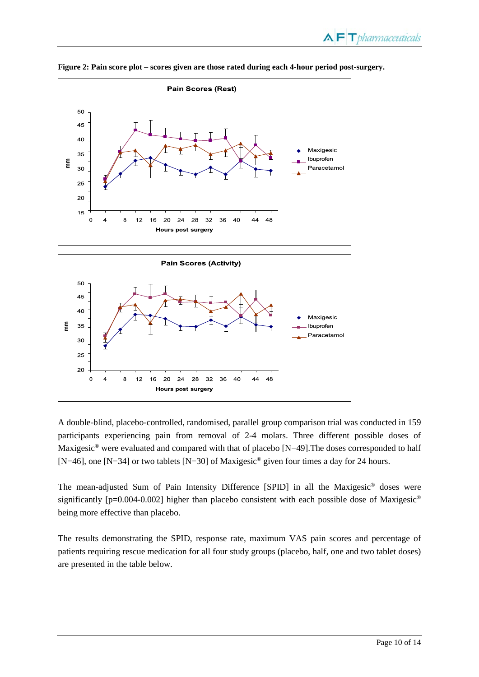

**Figure 2: Pain score plot – scores given are those rated during each 4-hour period post-surgery.**

A double-blind, placebo-controlled, randomised, parallel group comparison trial was conducted in 159 participants experiencing pain from removal of 2-4 molars. Three different possible doses of Maxigesic<sup>®</sup> were evaluated and compared with that of placebo [N=49]. The doses corresponded to half [N=46], one [N=34] or two tablets [N=30] of Maxigesic<sup>®</sup> given four times a day for 24 hours.

The mean-adjusted Sum of Pain Intensity Difference [SPID] in all the Maxigesic® doses were significantly  $[p=0.004-0.002]$  higher than placebo consistent with each possible dose of Maxigesic<sup>®</sup> being more effective than placebo.

The results demonstrating the SPID, response rate, maximum VAS pain scores and percentage of patients requiring rescue medication for all four study groups (placebo, half, one and two tablet doses)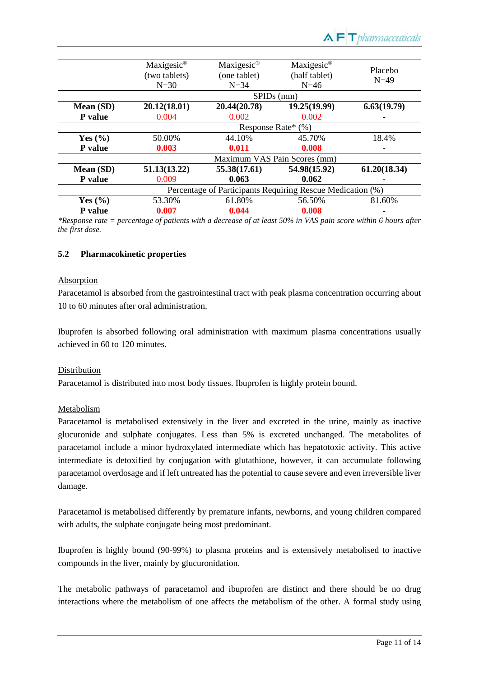|             | Maxigesic <sup>®</sup>       | Maxigesic <sup>®</sup>                                     | Maxigesic <sup>®</sup> | Placebo      |
|-------------|------------------------------|------------------------------------------------------------|------------------------|--------------|
|             | (two tablets)                | (one tablet)                                               | (half tablet)          | $N=49$       |
|             | $N=30$                       | $N = 34$                                                   | $N=46$                 |              |
|             | $SPIDs$ (mm)                 |                                                            |                        |              |
| Mean (SD)   | 20.12(18.01)                 | 20.44(20.78)                                               | 19.25(19.99)           | 6.63(19.79)  |
| P value     | 0.004                        | 0.002                                                      | 0.002                  |              |
|             | Response Rate* (%)           |                                                            |                        |              |
| Yes $(\% )$ | 50.00%                       | 44.10%                                                     | 45.70%                 | 18.4%        |
| P value     | 0.003                        | 0.011                                                      | 0.008                  |              |
|             | Maximum VAS Pain Scores (mm) |                                                            |                        |              |
| Mean (SD)   | 51.13(13.22)                 | 55.38(17.61)                                               | 54.98(15.92)           | 61.20(18.34) |
| P value     | 0.009                        | 0.063                                                      | 0.062                  |              |
|             |                              | Percentage of Participants Requiring Rescue Medication (%) |                        |              |
| Yes $(\% )$ | 53.30%                       | 61.80%                                                     | 56.50%                 | 81.60%       |
| P value     | 0.007                        | 0.044                                                      | 0.008                  |              |
|             |                              |                                                            |                        |              |

*\*Response rate = percentage of patients with a decrease of at least 50% in VAS pain score within 6 hours after the first dose.*

#### **5.2 Pharmacokinetic properties**

#### Absorption

Paracetamol is absorbed from the gastrointestinal tract with peak plasma concentration occurring about 10 to 60 minutes after oral administration.

Ibuprofen is absorbed following oral administration with maximum plasma concentrations usually achieved in 60 to 120 minutes.

#### Distribution

Paracetamol is distributed into most body tissues. Ibuprofen is highly protein bound.

#### Metabolism

Paracetamol is metabolised extensively in the liver and excreted in the urine, mainly as inactive glucuronide and sulphate conjugates. Less than 5% is excreted unchanged. The metabolites of paracetamol include a minor hydroxylated intermediate which has hepatotoxic activity. This active intermediate is detoxified by conjugation with glutathione, however, it can accumulate following paracetamol overdosage and if left untreated has the potential to cause severe and even irreversible liver damage.

Paracetamol is metabolised differently by premature infants, newborns, and young children compared with adults, the sulphate conjugate being most predominant.

Ibuprofen is highly bound (90-99%) to plasma proteins and is extensively metabolised to inactive compounds in the liver, mainly by glucuronidation.

The metabolic pathways of paracetamol and ibuprofen are distinct and there should be no drug interactions where the metabolism of one affects the metabolism of the other. A formal study using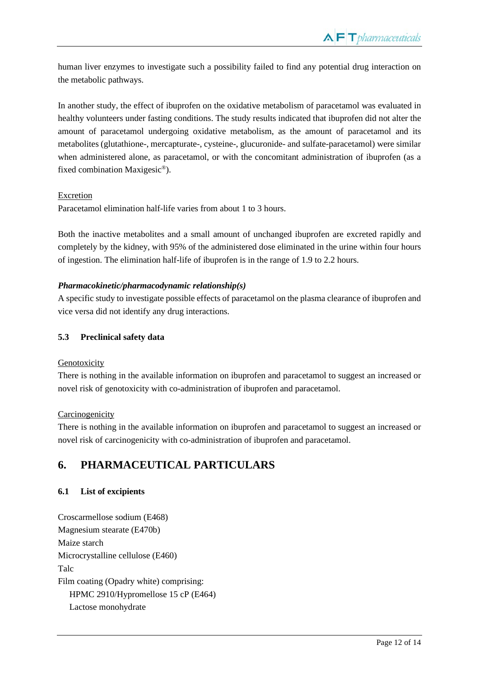human liver enzymes to investigate such a possibility failed to find any potential drug interaction on the metabolic pathways.

In another study, the effect of ibuprofen on the oxidative metabolism of paracetamol was evaluated in healthy volunteers under fasting conditions. The study results indicated that ibuprofen did not alter the amount of paracetamol undergoing oxidative metabolism, as the amount of paracetamol and its metabolites (glutathione-, mercapturate-, cysteine-, glucuronide- and sulfate-paracetamol) were similar when administered alone, as paracetamol, or with the concomitant administration of ibuprofen (as a fixed combination Maxigesic®).

## Excretion

Paracetamol elimination half-life varies from about 1 to 3 hours.

Both the inactive metabolites and a small amount of unchanged ibuprofen are excreted rapidly and completely by the kidney, with 95% of the administered dose eliminated in the urine within four hours of ingestion. The elimination half-life of ibuprofen is in the range of 1.9 to 2.2 hours.

## *Pharmacokinetic/pharmacodynamic relationship(s)*

A specific study to investigate possible effects of paracetamol on the plasma clearance of ibuprofen and vice versa did not identify any drug interactions.

## **5.3 Preclinical safety data**

## Genotoxicity

There is nothing in the available information on ibuprofen and paracetamol to suggest an increased or novel risk of genotoxicity with co-administration of ibuprofen and paracetamol.

## **Carcinogenicity**

There is nothing in the available information on ibuprofen and paracetamol to suggest an increased or novel risk of carcinogenicity with co-administration of ibuprofen and paracetamol.

# **6. PHARMACEUTICAL PARTICULARS**

## **6.1 List of excipients**

Croscarmellose sodium (E468) Magnesium stearate (E470b) Maize starch Microcrystalline cellulose (E460) Talc Film coating (Opadry white) comprising: HPMC 2910/Hypromellose 15 cP (E464) Lactose monohydrate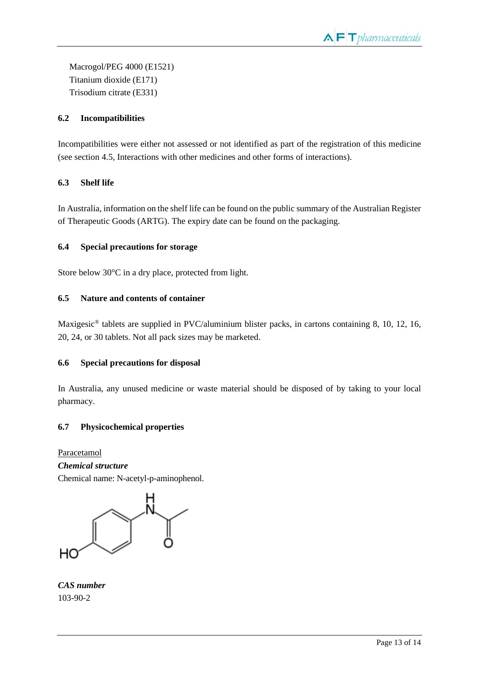Macrogol/PEG 4000 (E1521) Titanium dioxide (E171) Trisodium citrate (E331)

## **6.2 Incompatibilities**

Incompatibilities were either not assessed or not identified as part of the registration of this medicine (see section 4.5, Interactions with other medicines and other forms of interactions).

## **6.3 Shelf life**

In Australia, information on the shelf life can be found on the public summary of the Australian Register of Therapeutic Goods (ARTG). The expiry date can be found on the packaging.

## **6.4 Special precautions for storage**

Store below 30°C in a dry place, protected from light.

## **6.5 Nature and contents of container**

Maxigesic<sup>®</sup> tablets are supplied in PVC/aluminium blister packs, in cartons containing 8, 10, 12, 16, 20, 24, or 30 tablets. Not all pack sizes may be marketed.

## **6.6 Special precautions for disposal**

In Australia, any unused medicine or waste material should be disposed of by taking to your local pharmacy.

## **6.7 Physicochemical properties**

Paracetamol *Chemical structure* Chemical name: N-acetyl-p-aminophenol.

HС

*CAS number* 103-90-2